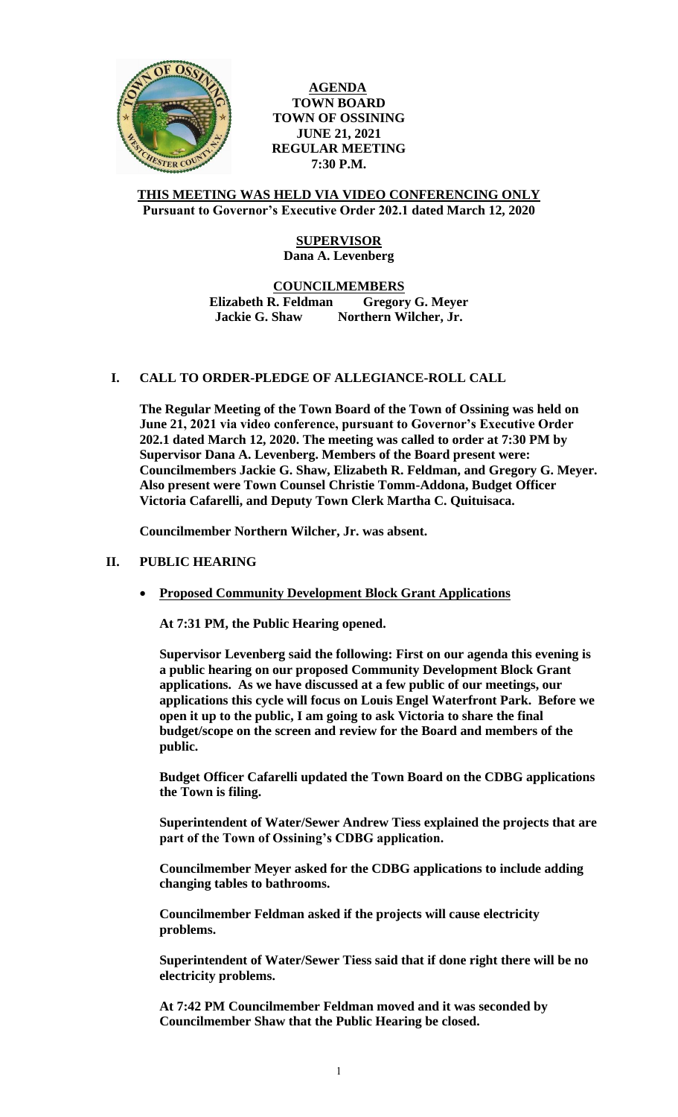

**AGENDA TOWN BOARD TOWN OF OSSINING JUNE 21, 2021 REGULAR MEETING 7:30 P.M.**

#### **THIS MEETING WAS HELD VIA VIDEO CONFERENCING ONLY Pursuant to Governor's Executive Order 202.1 dated March 12, 2020**

# **SUPERVISOR Dana A. Levenberg**

#### **COUNCILMEMBERS Elizabeth R. Feldman Gregory G. Meyer Jackie G. Shaw Northern Wilcher, Jr.**

# **I. CALL TO ORDER-PLEDGE OF ALLEGIANCE-ROLL CALL**

**The Regular Meeting of the Town Board of the Town of Ossining was held on June 21, 2021 via video conference, pursuant to Governor's Executive Order 202.1 dated March 12, 2020. The meeting was called to order at 7:30 PM by Supervisor Dana A. Levenberg. Members of the Board present were: Councilmembers Jackie G. Shaw, Elizabeth R. Feldman, and Gregory G. Meyer. Also present were Town Counsel Christie Tomm-Addona, Budget Officer Victoria Cafarelli, and Deputy Town Clerk Martha C. Quituisaca.**

**Councilmember Northern Wilcher, Jr. was absent.**

# **II. PUBLIC HEARING**

**Proposed Community Development Block Grant Applications**

**At 7:31 PM, the Public Hearing opened.** 

**Supervisor Levenberg said the following: First on our agenda this evening is a public hearing on our proposed Community Development Block Grant applications. As we have discussed at a few public of our meetings, our applications this cycle will focus on Louis Engel Waterfront Park. Before we open it up to the public, I am going to ask Victoria to share the final budget/scope on the screen and review for the Board and members of the public.**

**Budget Officer Cafarelli updated the Town Board on the CDBG applications the Town is filing.** 

**Superintendent of Water/Sewer Andrew Tiess explained the projects that are part of the Town of Ossining's CDBG application.** 

**Councilmember Meyer asked for the CDBG applications to include adding changing tables to bathrooms.**

**Councilmember Feldman asked if the projects will cause electricity problems.**

**Superintendent of Water/Sewer Tiess said that if done right there will be no electricity problems.** 

**At 7:42 PM Councilmember Feldman moved and it was seconded by Councilmember Shaw that the Public Hearing be closed.**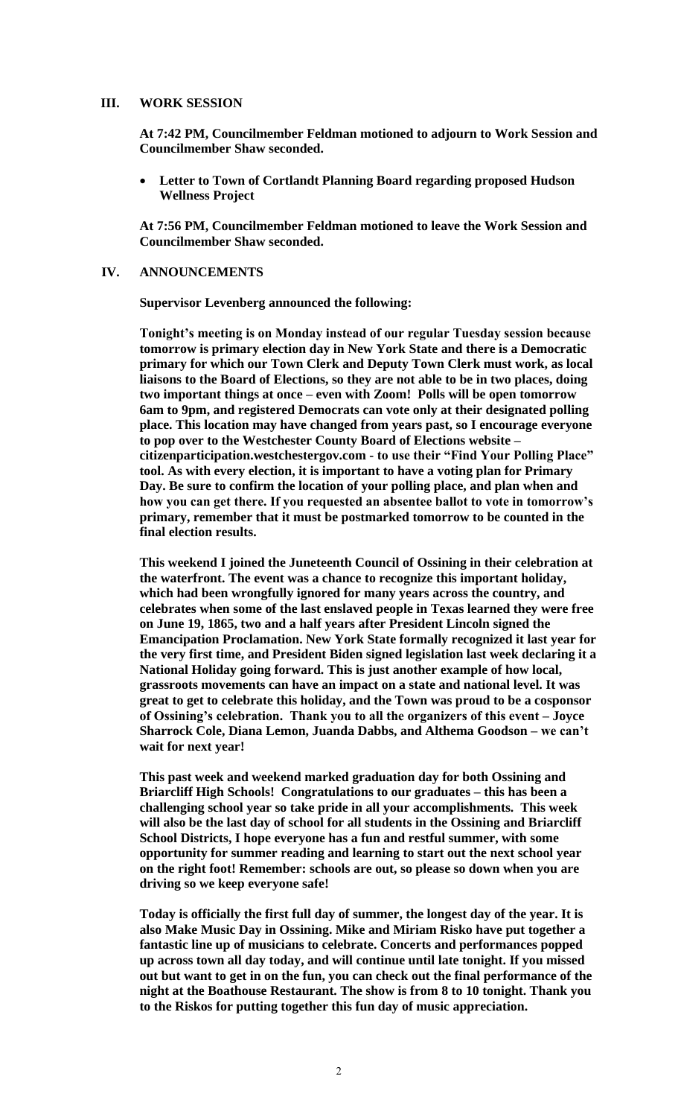#### **III. WORK SESSION**

**At 7:42 PM, Councilmember Feldman motioned to adjourn to Work Session and Councilmember Shaw seconded.** 

 **Letter to Town of Cortlandt Planning Board regarding proposed Hudson Wellness Project**

**At 7:56 PM, Councilmember Feldman motioned to leave the Work Session and Councilmember Shaw seconded.** 

#### **IV. ANNOUNCEMENTS**

**Supervisor Levenberg announced the following:** 

**Tonight's meeting is on Monday instead of our regular Tuesday session because tomorrow is primary election day in New York State and there is a Democratic primary for which our Town Clerk and Deputy Town Clerk must work, as local liaisons to the Board of Elections, so they are not able to be in two places, doing two important things at once – even with Zoom! Polls will be open tomorrow 6am to 9pm, and registered Democrats can vote only at their designated polling place. This location may have changed from years past, so I encourage everyone to pop over to the Westchester County Board of Elections website – citizenparticipation.westchestergov.com - to use their "Find Your Polling Place" tool. As with every election, it is important to have a voting plan for Primary Day. Be sure to confirm the location of your polling place, and plan when and how you can get there. If you requested an absentee ballot to vote in tomorrow's primary, remember that it must be postmarked tomorrow to be counted in the final election results.** 

**This weekend I joined the Juneteenth Council of Ossining in their celebration at the waterfront. The event was a chance to recognize this important holiday, which had been wrongfully ignored for many years across the country, and celebrates when some of the last enslaved people in Texas learned they were free on June 19, 1865, two and a half years after President Lincoln signed the Emancipation Proclamation. New York State formally recognized it last year for the very first time, and President Biden signed legislation last week declaring it a National Holiday going forward. This is just another example of how local, grassroots movements can have an impact on a state and national level. It was great to get to celebrate this holiday, and the Town was proud to be a cosponsor of Ossining's celebration. Thank you to all the organizers of this event – Joyce Sharrock Cole, Diana Lemon, Juanda Dabbs, and Althema Goodson – we can't wait for next year!** 

**This past week and weekend marked graduation day for both Ossining and Briarcliff High Schools! Congratulations to our graduates – this has been a challenging school year so take pride in all your accomplishments. This week will also be the last day of school for all students in the Ossining and Briarcliff School Districts, I hope everyone has a fun and restful summer, with some opportunity for summer reading and learning to start out the next school year on the right foot! Remember: schools are out, so please so down when you are driving so we keep everyone safe!**

**Today is officially the first full day of summer, the longest day of the year. It is also Make Music Day in Ossining. Mike and Miriam Risko have put together a fantastic line up of musicians to celebrate. Concerts and performances popped up across town all day today, and will continue until late tonight. If you missed out but want to get in on the fun, you can check out the final performance of the night at the Boathouse Restaurant. The show is from 8 to 10 tonight. Thank you to the Riskos for putting together this fun day of music appreciation.**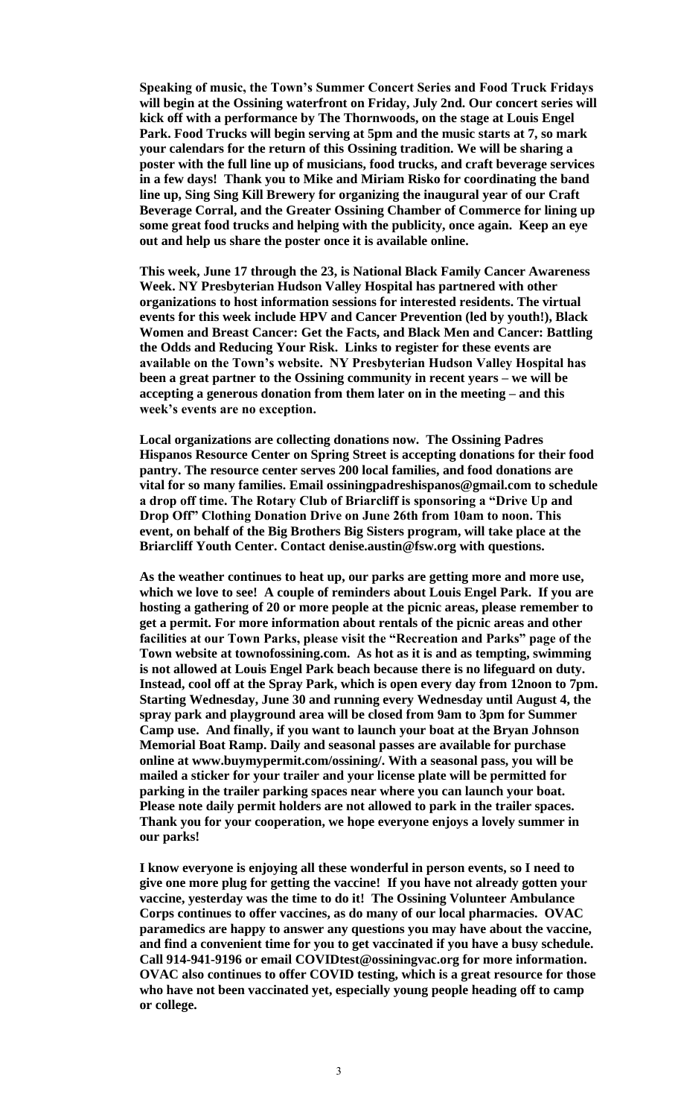**Speaking of music, the Town's Summer Concert Series and Food Truck Fridays will begin at the Ossining waterfront on Friday, July 2nd. Our concert series will kick off with a performance by The Thornwoods, on the stage at Louis Engel Park. Food Trucks will begin serving at 5pm and the music starts at 7, so mark your calendars for the return of this Ossining tradition. We will be sharing a poster with the full line up of musicians, food trucks, and craft beverage services in a few days! Thank you to Mike and Miriam Risko for coordinating the band line up, Sing Sing Kill Brewery for organizing the inaugural year of our Craft Beverage Corral, and the Greater Ossining Chamber of Commerce for lining up some great food trucks and helping with the publicity, once again. Keep an eye out and help us share the poster once it is available online.** 

**This week, June 17 through the 23, is National Black Family Cancer Awareness Week. NY Presbyterian Hudson Valley Hospital has partnered with other organizations to host information sessions for interested residents. The virtual events for this week include HPV and Cancer Prevention (led by youth!), Black Women and Breast Cancer: Get the Facts, and Black Men and Cancer: Battling the Odds and Reducing Your Risk. Links to register for these events are available on the Town's website. NY Presbyterian Hudson Valley Hospital has been a great partner to the Ossining community in recent years – we will be accepting a generous donation from them later on in the meeting – and this week's events are no exception.** 

**Local organizations are collecting donations now. The Ossining Padres Hispanos Resource Center on Spring Street is accepting donations for their food pantry. The resource center serves 200 local families, and food donations are vital for so many families. Email ossiningpadreshispanos@gmail.com to schedule a drop off time. The Rotary Club of Briarcliff is sponsoring a "Drive Up and Drop Off" Clothing Donation Drive on June 26th from 10am to noon. This event, on behalf of the Big Brothers Big Sisters program, will take place at the Briarcliff Youth Center. Contact denise.austin@fsw.org with questions.**

**As the weather continues to heat up, our parks are getting more and more use, which we love to see! A couple of reminders about Louis Engel Park. If you are hosting a gathering of 20 or more people at the picnic areas, please remember to get a permit. For more information about rentals of the picnic areas and other facilities at our Town Parks, please visit the "Recreation and Parks" page of the Town website at townofossining.com. As hot as it is and as tempting, swimming is not allowed at Louis Engel Park beach because there is no lifeguard on duty. Instead, cool off at the Spray Park, which is open every day from 12noon to 7pm. Starting Wednesday, June 30 and running every Wednesday until August 4, the spray park and playground area will be closed from 9am to 3pm for Summer Camp use. And finally, if you want to launch your boat at the Bryan Johnson Memorial Boat Ramp. Daily and seasonal passes are available for purchase online at www.buymypermit.com/ossining/. With a seasonal pass, you will be mailed a sticker for your trailer and your license plate will be permitted for parking in the trailer parking spaces near where you can launch your boat. Please note daily permit holders are not allowed to park in the trailer spaces. Thank you for your cooperation, we hope everyone enjoys a lovely summer in our parks!**

**I know everyone is enjoying all these wonderful in person events, so I need to give one more plug for getting the vaccine! If you have not already gotten your vaccine, yesterday was the time to do it! The Ossining Volunteer Ambulance Corps continues to offer vaccines, as do many of our local pharmacies. OVAC paramedics are happy to answer any questions you may have about the vaccine, and find a convenient time for you to get vaccinated if you have a busy schedule. Call 914-941-9196 or email COVIDtest@ossiningvac.org for more information. OVAC also continues to offer COVID testing, which is a great resource for those who have not been vaccinated yet, especially young people heading off to camp or college.**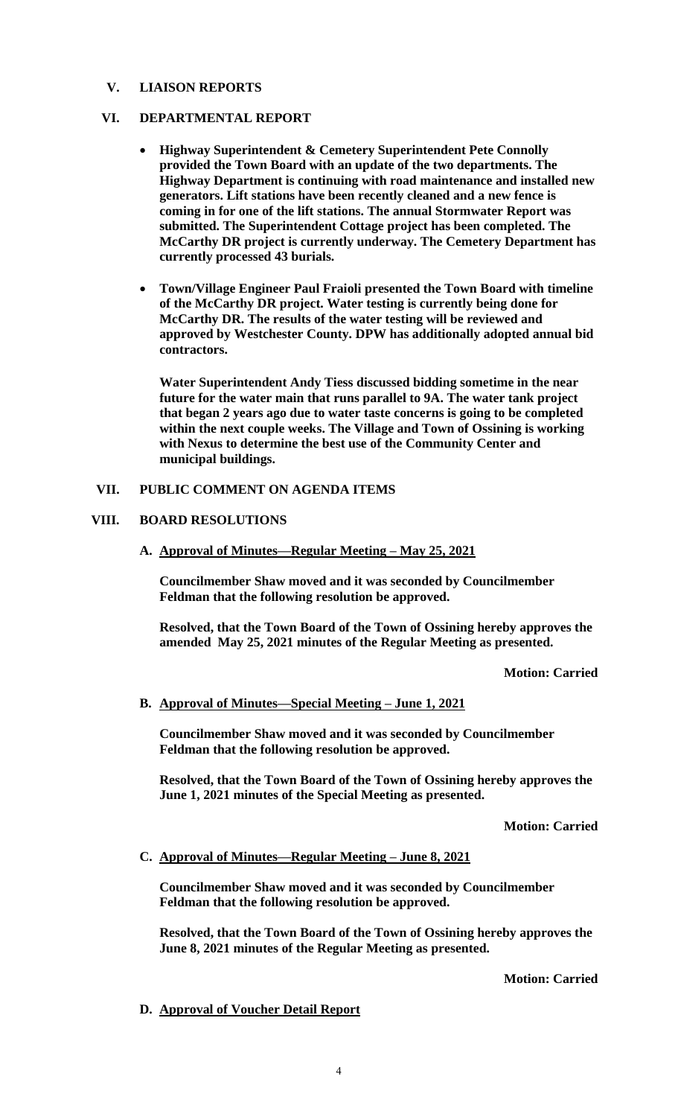# **V. LIAISON REPORTS**

# **VI. DEPARTMENTAL REPORT**

- **Highway Superintendent & Cemetery Superintendent Pete Connolly provided the Town Board with an update of the two departments. The Highway Department is continuing with road maintenance and installed new generators. Lift stations have been recently cleaned and a new fence is coming in for one of the lift stations. The annual Stormwater Report was submitted. The Superintendent Cottage project has been completed. The McCarthy DR project is currently underway. The Cemetery Department has currently processed 43 burials.**
- **Town/Village Engineer Paul Fraioli presented the Town Board with timeline of the McCarthy DR project. Water testing is currently being done for McCarthy DR. The results of the water testing will be reviewed and approved by Westchester County. DPW has additionally adopted annual bid contractors.**

**Water Superintendent Andy Tiess discussed bidding sometime in the near future for the water main that runs parallel to 9A. The water tank project that began 2 years ago due to water taste concerns is going to be completed within the next couple weeks. The Village and Town of Ossining is working with Nexus to determine the best use of the Community Center and municipal buildings.** 

# **VII. PUBLIC COMMENT ON AGENDA ITEMS**

# **VIII. BOARD RESOLUTIONS**

**A. Approval of Minutes—Regular Meeting – May 25, 2021**

**Councilmember Shaw moved and it was seconded by Councilmember Feldman that the following resolution be approved.**

**Resolved, that the Town Board of the Town of Ossining hereby approves the amended May 25, 2021 minutes of the Regular Meeting as presented.**

**Motion: Carried**

# **B. Approval of Minutes—Special Meeting – June 1, 2021**

**Councilmember Shaw moved and it was seconded by Councilmember Feldman that the following resolution be approved.**

**Resolved, that the Town Board of the Town of Ossining hereby approves the June 1, 2021 minutes of the Special Meeting as presented.**

**Motion: Carried**

**C. Approval of Minutes—Regular Meeting – June 8, 2021**

**Councilmember Shaw moved and it was seconded by Councilmember Feldman that the following resolution be approved.**

**Resolved, that the Town Board of the Town of Ossining hereby approves the June 8, 2021 minutes of the Regular Meeting as presented.**

**Motion: Carried**

# **D. Approval of Voucher Detail Report**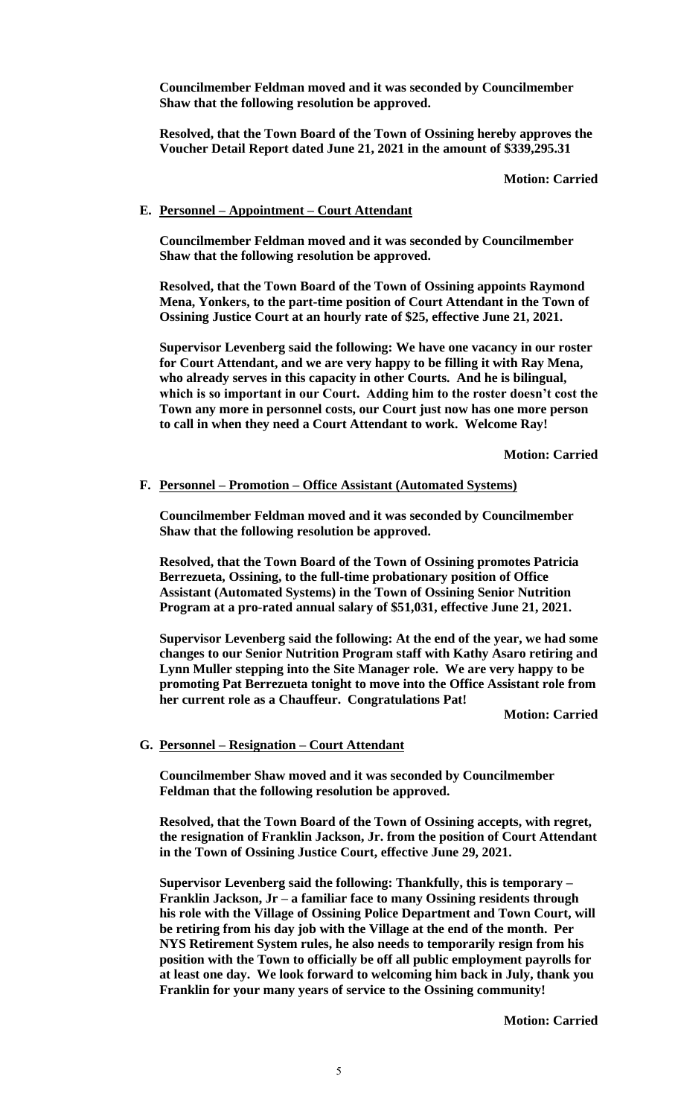**Councilmember Feldman moved and it was seconded by Councilmember Shaw that the following resolution be approved.**

**Resolved, that the Town Board of the Town of Ossining hereby approves the Voucher Detail Report dated June 21, 2021 in the amount of \$339,295.31**

**Motion: Carried**

#### **E. Personnel – Appointment – Court Attendant**

**Councilmember Feldman moved and it was seconded by Councilmember Shaw that the following resolution be approved.**

**Resolved, that the Town Board of the Town of Ossining appoints Raymond Mena, Yonkers, to the part-time position of Court Attendant in the Town of Ossining Justice Court at an hourly rate of \$25, effective June 21, 2021.** 

**Supervisor Levenberg said the following: We have one vacancy in our roster for Court Attendant, and we are very happy to be filling it with Ray Mena, who already serves in this capacity in other Courts. And he is bilingual, which is so important in our Court. Adding him to the roster doesn't cost the Town any more in personnel costs, our Court just now has one more person to call in when they need a Court Attendant to work. Welcome Ray!**

**Motion: Carried**

#### **F. Personnel – Promotion – Office Assistant (Automated Systems)**

**Councilmember Feldman moved and it was seconded by Councilmember Shaw that the following resolution be approved.**

**Resolved, that the Town Board of the Town of Ossining promotes Patricia Berrezueta, Ossining, to the full-time probationary position of Office Assistant (Automated Systems) in the Town of Ossining Senior Nutrition Program at a pro-rated annual salary of \$51,031, effective June 21, 2021.** 

**Supervisor Levenberg said the following: At the end of the year, we had some changes to our Senior Nutrition Program staff with Kathy Asaro retiring and Lynn Muller stepping into the Site Manager role. We are very happy to be promoting Pat Berrezueta tonight to move into the Office Assistant role from her current role as a Chauffeur. Congratulations Pat!**

**Motion: Carried**

#### **G. Personnel – Resignation – Court Attendant**

**Councilmember Shaw moved and it was seconded by Councilmember Feldman that the following resolution be approved.**

**Resolved, that the Town Board of the Town of Ossining accepts, with regret, the resignation of Franklin Jackson, Jr. from the position of Court Attendant in the Town of Ossining Justice Court, effective June 29, 2021.** 

**Supervisor Levenberg said the following: Thankfully, this is temporary – Franklin Jackson, Jr – a familiar face to many Ossining residents through his role with the Village of Ossining Police Department and Town Court, will be retiring from his day job with the Village at the end of the month. Per NYS Retirement System rules, he also needs to temporarily resign from his position with the Town to officially be off all public employment payrolls for at least one day. We look forward to welcoming him back in July, thank you Franklin for your many years of service to the Ossining community!**

**Motion: Carried**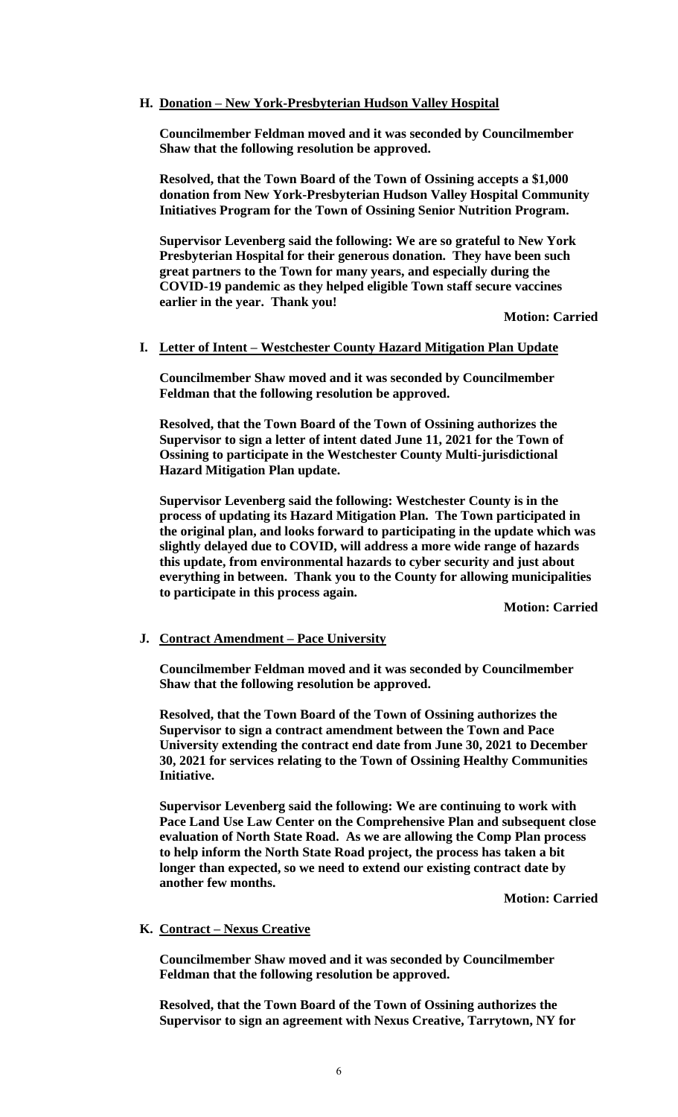# **H. Donation – New York-Presbyterian Hudson Valley Hospital**

**Councilmember Feldman moved and it was seconded by Councilmember Shaw that the following resolution be approved.**

**Resolved, that the Town Board of the Town of Ossining accepts a \$1,000 donation from New York-Presbyterian Hudson Valley Hospital Community Initiatives Program for the Town of Ossining Senior Nutrition Program.** 

**Supervisor Levenberg said the following: We are so grateful to New York Presbyterian Hospital for their generous donation. They have been such great partners to the Town for many years, and especially during the COVID-19 pandemic as they helped eligible Town staff secure vaccines earlier in the year. Thank you!**

**Motion: Carried**

#### **I. Letter of Intent – Westchester County Hazard Mitigation Plan Update**

**Councilmember Shaw moved and it was seconded by Councilmember Feldman that the following resolution be approved.**

**Resolved, that the Town Board of the Town of Ossining authorizes the Supervisor to sign a letter of intent dated June 11, 2021 for the Town of Ossining to participate in the Westchester County Multi-jurisdictional Hazard Mitigation Plan update.** 

**Supervisor Levenberg said the following: Westchester County is in the process of updating its Hazard Mitigation Plan. The Town participated in the original plan, and looks forward to participating in the update which was slightly delayed due to COVID, will address a more wide range of hazards this update, from environmental hazards to cyber security and just about everything in between. Thank you to the County for allowing municipalities to participate in this process again.**

**Motion: Carried**

# **J. Contract Amendment – Pace University**

**Councilmember Feldman moved and it was seconded by Councilmember Shaw that the following resolution be approved.**

**Resolved, that the Town Board of the Town of Ossining authorizes the Supervisor to sign a contract amendment between the Town and Pace University extending the contract end date from June 30, 2021 to December 30, 2021 for services relating to the Town of Ossining Healthy Communities Initiative.** 

**Supervisor Levenberg said the following: We are continuing to work with Pace Land Use Law Center on the Comprehensive Plan and subsequent close evaluation of North State Road. As we are allowing the Comp Plan process to help inform the North State Road project, the process has taken a bit longer than expected, so we need to extend our existing contract date by another few months.**

**Motion: Carried**

# **K. Contract – Nexus Creative**

**Councilmember Shaw moved and it was seconded by Councilmember Feldman that the following resolution be approved.**

**Resolved, that the Town Board of the Town of Ossining authorizes the Supervisor to sign an agreement with Nexus Creative, Tarrytown, NY for**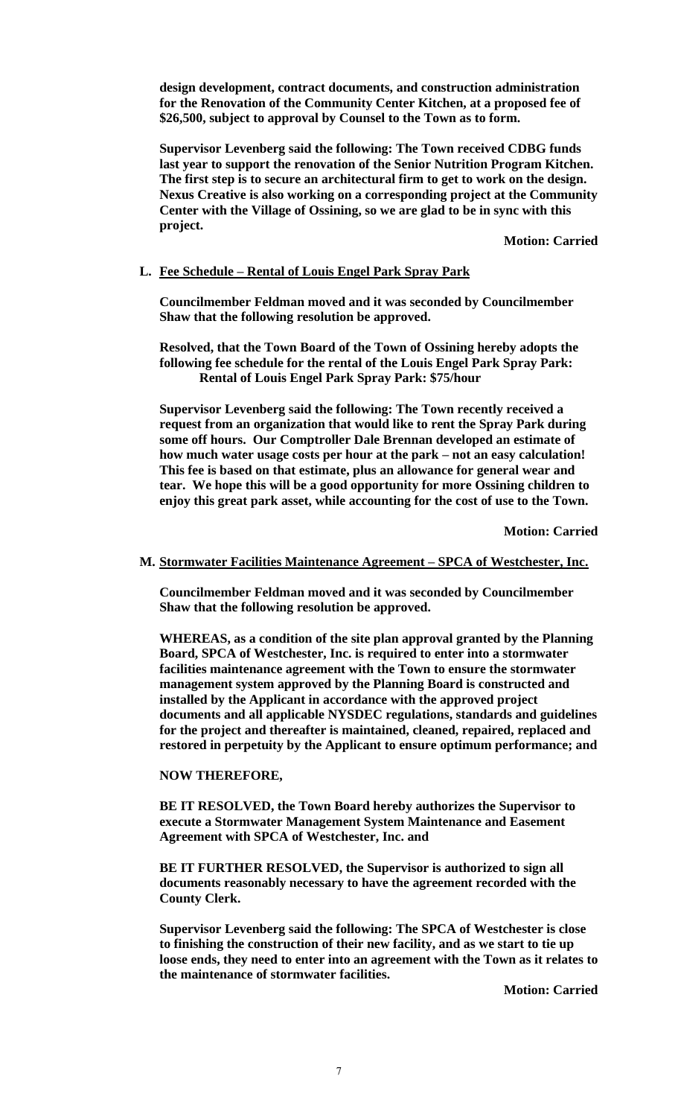**design development, contract documents, and construction administration for the Renovation of the Community Center Kitchen, at a proposed fee of \$26,500, subject to approval by Counsel to the Town as to form.** 

**Supervisor Levenberg said the following: The Town received CDBG funds last year to support the renovation of the Senior Nutrition Program Kitchen. The first step is to secure an architectural firm to get to work on the design. Nexus Creative is also working on a corresponding project at the Community Center with the Village of Ossining, so we are glad to be in sync with this project.** 

**Motion: Carried**

# **L. Fee Schedule – Rental of Louis Engel Park Spray Park**

**Councilmember Feldman moved and it was seconded by Councilmember Shaw that the following resolution be approved.**

**Resolved, that the Town Board of the Town of Ossining hereby adopts the following fee schedule for the rental of the Louis Engel Park Spray Park: Rental of Louis Engel Park Spray Park: \$75/hour**

**Supervisor Levenberg said the following: The Town recently received a request from an organization that would like to rent the Spray Park during some off hours. Our Comptroller Dale Brennan developed an estimate of how much water usage costs per hour at the park – not an easy calculation! This fee is based on that estimate, plus an allowance for general wear and tear. We hope this will be a good opportunity for more Ossining children to enjoy this great park asset, while accounting for the cost of use to the Town.**

**Motion: Carried**

#### **M. Stormwater Facilities Maintenance Agreement – SPCA of Westchester, Inc.**

**Councilmember Feldman moved and it was seconded by Councilmember Shaw that the following resolution be approved.**

**WHEREAS, as a condition of the site plan approval granted by the Planning Board, SPCA of Westchester, Inc. is required to enter into a stormwater facilities maintenance agreement with the Town to ensure the stormwater management system approved by the Planning Board is constructed and installed by the Applicant in accordance with the approved project documents and all applicable NYSDEC regulations, standards and guidelines for the project and thereafter is maintained, cleaned, repaired, replaced and restored in perpetuity by the Applicant to ensure optimum performance; and**

#### **NOW THEREFORE,**

**BE IT RESOLVED, the Town Board hereby authorizes the Supervisor to execute a Stormwater Management System Maintenance and Easement Agreement with SPCA of Westchester, Inc. and**

**BE IT FURTHER RESOLVED, the Supervisor is authorized to sign all documents reasonably necessary to have the agreement recorded with the County Clerk.**

**Supervisor Levenberg said the following: The SPCA of Westchester is close to finishing the construction of their new facility, and as we start to tie up loose ends, they need to enter into an agreement with the Town as it relates to the maintenance of stormwater facilities.** 

**Motion: Carried**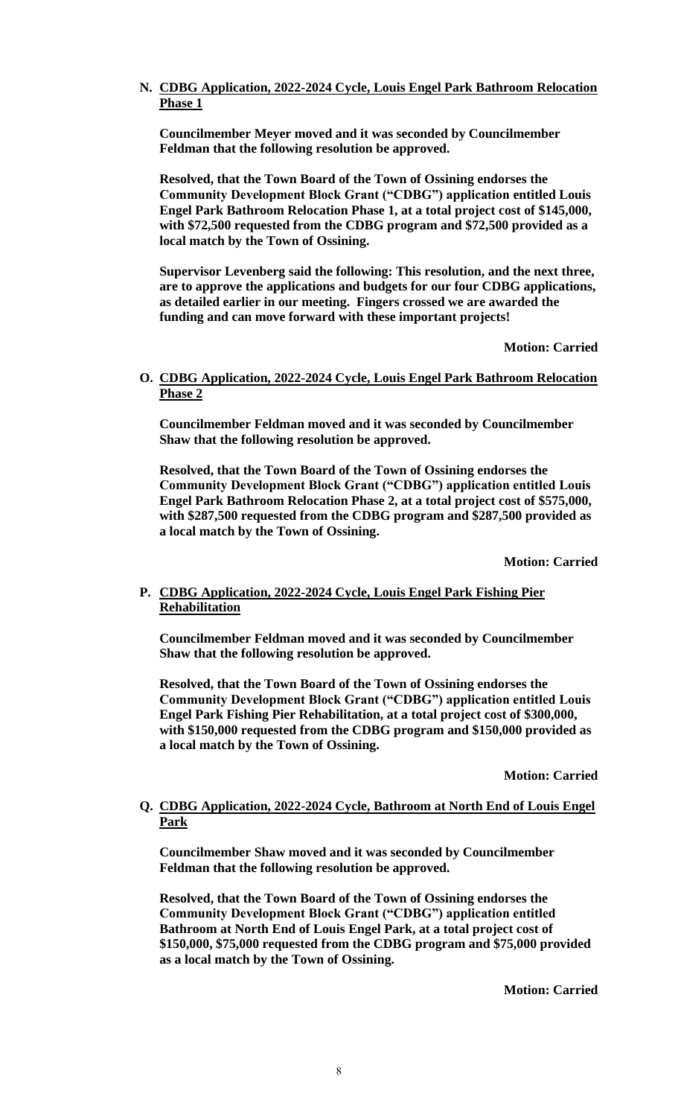# **N. CDBG Application, 2022-2024 Cycle, Louis Engel Park Bathroom Relocation Phase 1**

**Councilmember Meyer moved and it was seconded by Councilmember Feldman that the following resolution be approved.**

**Resolved, that the Town Board of the Town of Ossining endorses the Community Development Block Grant ("CDBG") application entitled Louis Engel Park Bathroom Relocation Phase 1, at a total project cost of \$145,000, with \$72,500 requested from the CDBG program and \$72,500 provided as a local match by the Town of Ossining.** 

**Supervisor Levenberg said the following: This resolution, and the next three, are to approve the applications and budgets for our four CDBG applications, as detailed earlier in our meeting. Fingers crossed we are awarded the funding and can move forward with these important projects!**

**Motion: Carried**

# **O. CDBG Application, 2022-2024 Cycle, Louis Engel Park Bathroom Relocation Phase 2**

**Councilmember Feldman moved and it was seconded by Councilmember Shaw that the following resolution be approved.**

**Resolved, that the Town Board of the Town of Ossining endorses the Community Development Block Grant ("CDBG") application entitled Louis Engel Park Bathroom Relocation Phase 2, at a total project cost of \$575,000, with \$287,500 requested from the CDBG program and \$287,500 provided as a local match by the Town of Ossining.** 

**Motion: Carried**

# **P. CDBG Application, 2022-2024 Cycle, Louis Engel Park Fishing Pier Rehabilitation**

**Councilmember Feldman moved and it was seconded by Councilmember Shaw that the following resolution be approved.**

**Resolved, that the Town Board of the Town of Ossining endorses the Community Development Block Grant ("CDBG") application entitled Louis Engel Park Fishing Pier Rehabilitation, at a total project cost of \$300,000, with \$150,000 requested from the CDBG program and \$150,000 provided as a local match by the Town of Ossining.** 

**Motion: Carried**

# **Q. CDBG Application, 2022-2024 Cycle, Bathroom at North End of Louis Engel Park**

**Councilmember Shaw moved and it was seconded by Councilmember Feldman that the following resolution be approved.**

**Resolved, that the Town Board of the Town of Ossining endorses the Community Development Block Grant ("CDBG") application entitled Bathroom at North End of Louis Engel Park, at a total project cost of \$150,000, \$75,000 requested from the CDBG program and \$75,000 provided as a local match by the Town of Ossining.** 

**Motion: Carried**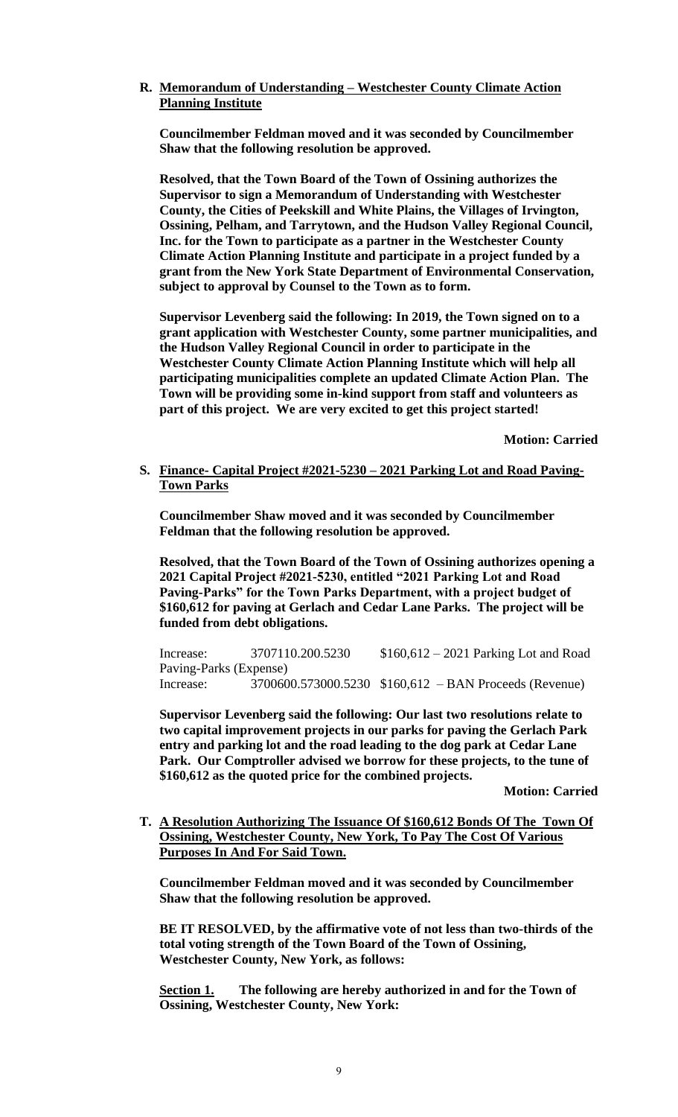# **R. Memorandum of Understanding – Westchester County Climate Action Planning Institute**

**Councilmember Feldman moved and it was seconded by Councilmember Shaw that the following resolution be approved.**

**Resolved, that the Town Board of the Town of Ossining authorizes the Supervisor to sign a Memorandum of Understanding with Westchester County, the Cities of Peekskill and White Plains, the Villages of Irvington, Ossining, Pelham, and Tarrytown, and the Hudson Valley Regional Council, Inc. for the Town to participate as a partner in the Westchester County Climate Action Planning Institute and participate in a project funded by a grant from the New York State Department of Environmental Conservation, subject to approval by Counsel to the Town as to form.** 

**Supervisor Levenberg said the following: In 2019, the Town signed on to a grant application with Westchester County, some partner municipalities, and the Hudson Valley Regional Council in order to participate in the Westchester County Climate Action Planning Institute which will help all participating municipalities complete an updated Climate Action Plan. The Town will be providing some in-kind support from staff and volunteers as part of this project. We are very excited to get this project started!**

**Motion: Carried**

**S. Finance- Capital Project #2021-5230 – 2021 Parking Lot and Road Paving-Town Parks** 

**Councilmember Shaw moved and it was seconded by Councilmember Feldman that the following resolution be approved.**

**Resolved, that the Town Board of the Town of Ossining authorizes opening a 2021 Capital Project #2021-5230, entitled "2021 Parking Lot and Road Paving-Parks" for the Town Parks Department, with a project budget of \$160,612 for paving at Gerlach and Cedar Lane Parks. The project will be funded from debt obligations.** 

Increase: 3707110.200.5230 \$160,612 – 2021 Parking Lot and Road Paving-Parks (Expense) Increase: 3700600.573000.5230 \$160,612 – BAN Proceeds (Revenue)

**Supervisor Levenberg said the following: Our last two resolutions relate to two capital improvement projects in our parks for paving the Gerlach Park entry and parking lot and the road leading to the dog park at Cedar Lane Park. Our Comptroller advised we borrow for these projects, to the tune of \$160,612 as the quoted price for the combined projects.**

**Motion: Carried**

**T. A Resolution Authorizing The Issuance Of \$160,612 Bonds Of The Town Of Ossining, Westchester County, New York, To Pay The Cost Of Various Purposes In And For Said Town.**

**Councilmember Feldman moved and it was seconded by Councilmember Shaw that the following resolution be approved.**

**BE IT RESOLVED, by the affirmative vote of not less than two-thirds of the total voting strength of the Town Board of the Town of Ossining, Westchester County, New York, as follows:** 

**Section 1. The following are hereby authorized in and for the Town of Ossining, Westchester County, New York:**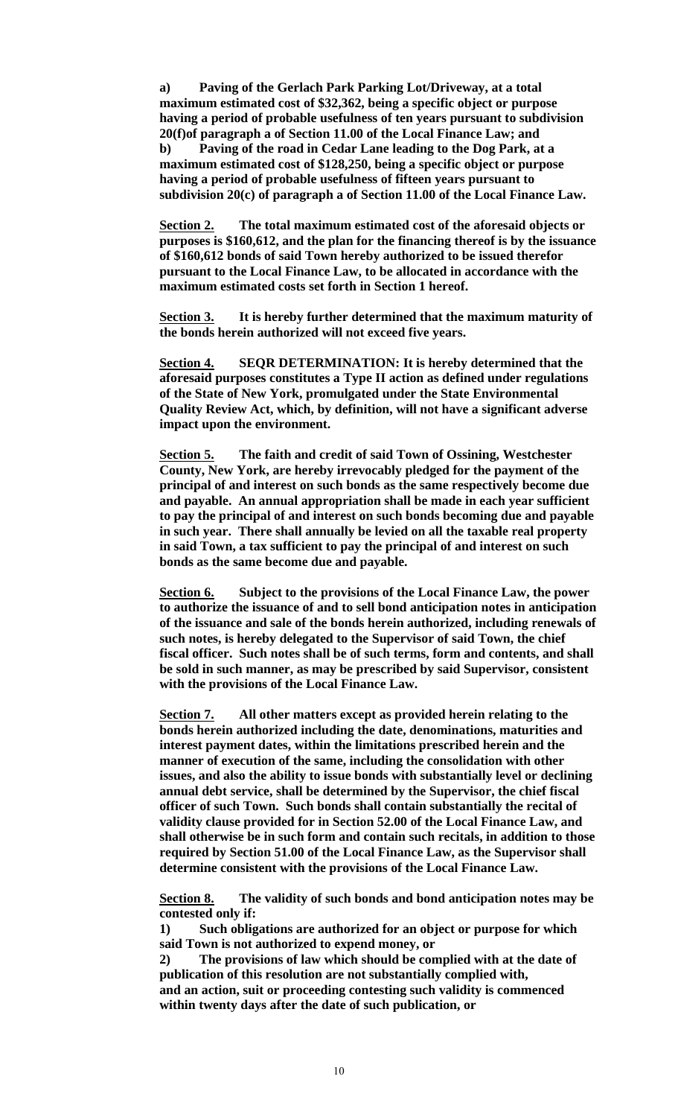**a) Paving of the Gerlach Park Parking Lot/Driveway, at a total maximum estimated cost of \$32,362, being a specific object or purpose having a period of probable usefulness of ten years pursuant to subdivision 20(f)of paragraph a of Section 11.00 of the Local Finance Law; and b) Paving of the road in Cedar Lane leading to the Dog Park, at a maximum estimated cost of \$128,250, being a specific object or purpose having a period of probable usefulness of fifteen years pursuant to subdivision 20(c) of paragraph a of Section 11.00 of the Local Finance Law.**

**Section 2. The total maximum estimated cost of the aforesaid objects or purposes is \$160,612, and the plan for the financing thereof is by the issuance of \$160,612 bonds of said Town hereby authorized to be issued therefor pursuant to the Local Finance Law, to be allocated in accordance with the maximum estimated costs set forth in Section 1 hereof.**

**Section 3. It is hereby further determined that the maximum maturity of the bonds herein authorized will not exceed five years.**

**Section 4. SEQR DETERMINATION: It is hereby determined that the aforesaid purposes constitutes a Type II action as defined under regulations of the State of New York, promulgated under the State Environmental Quality Review Act, which, by definition, will not have a significant adverse impact upon the environment.**

**Section 5. The faith and credit of said Town of Ossining, Westchester County, New York, are hereby irrevocably pledged for the payment of the principal of and interest on such bonds as the same respectively become due and payable. An annual appropriation shall be made in each year sufficient to pay the principal of and interest on such bonds becoming due and payable in such year. There shall annually be levied on all the taxable real property in said Town, a tax sufficient to pay the principal of and interest on such bonds as the same become due and payable.**

**Section 6. Subject to the provisions of the Local Finance Law, the power to authorize the issuance of and to sell bond anticipation notes in anticipation of the issuance and sale of the bonds herein authorized, including renewals of such notes, is hereby delegated to the Supervisor of said Town, the chief fiscal officer. Such notes shall be of such terms, form and contents, and shall be sold in such manner, as may be prescribed by said Supervisor, consistent with the provisions of the Local Finance Law.**

**Section 7. All other matters except as provided herein relating to the bonds herein authorized including the date, denominations, maturities and interest payment dates, within the limitations prescribed herein and the manner of execution of the same, including the consolidation with other issues, and also the ability to issue bonds with substantially level or declining annual debt service, shall be determined by the Supervisor, the chief fiscal officer of such Town. Such bonds shall contain substantially the recital of validity clause provided for in Section 52.00 of the Local Finance Law, and shall otherwise be in such form and contain such recitals, in addition to those required by Section 51.00 of the Local Finance Law, as the Supervisor shall determine consistent with the provisions of the Local Finance Law.**

**Section 8. The validity of such bonds and bond anticipation notes may be contested only if:**

**1) Such obligations are authorized for an object or purpose for which said Town is not authorized to expend money, or**

**2) The provisions of law which should be complied with at the date of publication of this resolution are not substantially complied with, and an action, suit or proceeding contesting such validity is commenced within twenty days after the date of such publication, or**